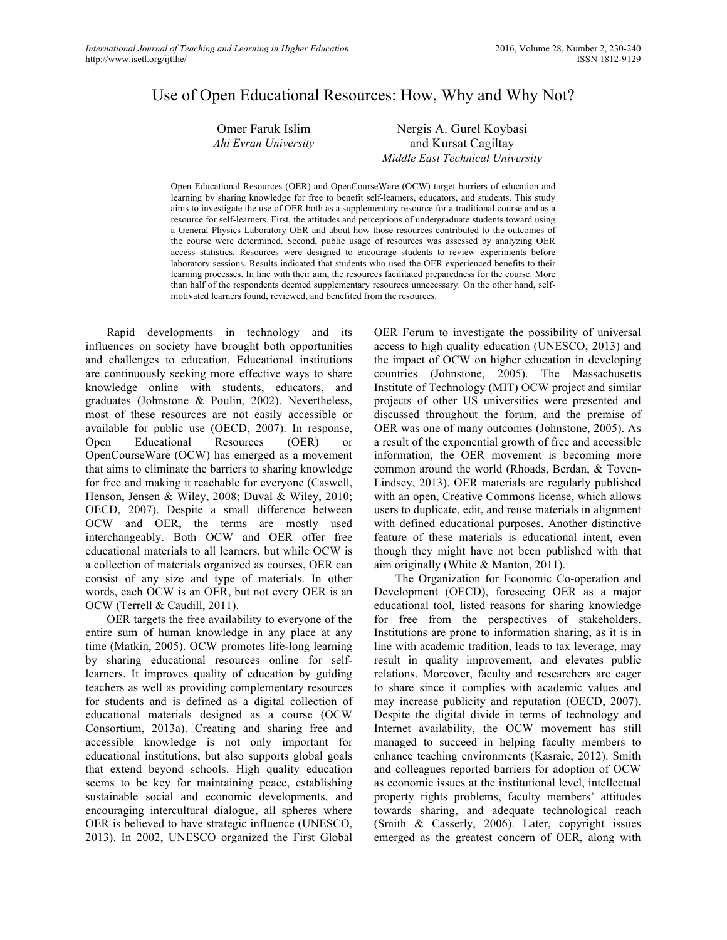# Use of Open Educational Resources: How, Why and Why Not?

| Omer Faruk Islim     | Nergis      |
|----------------------|-------------|
| Ahi Evran University | and         |
|                      | $1.6.111$ m |

s A. Gurel Koybasi Kursat Cagiltay *Middle East Technical University*

Open Educational Resources (OER) and OpenCourseWare (OCW) target barriers of education and learning by sharing knowledge for free to benefit self-learners, educators, and students. This study aims to investigate the use of OER both as a supplementary resource for a traditional course and as a resource for self-learners. First, the attitudes and perceptions of undergraduate students toward using a General Physics Laboratory OER and about how those resources contributed to the outcomes of the course were determined. Second, public usage of resources was assessed by analyzing OER access statistics. Resources were designed to encourage students to review experiments before laboratory sessions. Results indicated that students who used the OER experienced benefits to their learning processes. In line with their aim, the resources facilitated preparedness for the course. More than half of the respondents deemed supplementary resources unnecessary. On the other hand, selfmotivated learners found, reviewed, and benefited from the resources.

Rapid developments in technology and its influences on society have brought both opportunities and challenges to education. Educational institutions are continuously seeking more effective ways to share knowledge online with students, educators, and graduates (Johnstone & Poulin, 2002). Nevertheless, most of these resources are not easily accessible or available for public use (OECD, 2007). In response, Open Educational Resources (OER) or OpenCourseWare (OCW) has emerged as a movement that aims to eliminate the barriers to sharing knowledge for free and making it reachable for everyone (Caswell, Henson, Jensen & Wiley, 2008; Duval & Wiley, 2010; OECD, 2007). Despite a small difference between OCW and OER, the terms are mostly used interchangeably. Both OCW and OER offer free educational materials to all learners, but while OCW is a collection of materials organized as courses, OER can consist of any size and type of materials. In other words, each OCW is an OER, but not every OER is an OCW (Terrell & Caudill, 2011).

OER targets the free availability to everyone of the entire sum of human knowledge in any place at any time (Matkin, 2005). OCW promotes life-long learning by sharing educational resources online for selflearners. It improves quality of education by guiding teachers as well as providing complementary resources for students and is defined as a digital collection of educational materials designed as a course (OCW Consortium, 2013a). Creating and sharing free and accessible knowledge is not only important for educational institutions, but also supports global goals that extend beyond schools. High quality education seems to be key for maintaining peace, establishing sustainable social and economic developments, and encouraging intercultural dialogue, all spheres where OER is believed to have strategic influence (UNESCO, 2013). In 2002, UNESCO organized the First Global

OER Forum to investigate the possibility of universal access to high quality education (UNESCO, 2013) and the impact of OCW on higher education in developing countries (Johnstone, 2005). The Massachusetts Institute of Technology (MIT) OCW project and similar projects of other US universities were presented and discussed throughout the forum, and the premise of OER was one of many outcomes (Johnstone, 2005). As a result of the exponential growth of free and accessible information, the OER movement is becoming more common around the world (Rhoads, Berdan, & Toven-Lindsey, 2013). OER materials are regularly published with an open, Creative Commons license, which allows users to duplicate, edit, and reuse materials in alignment with defined educational purposes. Another distinctive feature of these materials is educational intent, even though they might have not been published with that aim originally (White & Manton, 2011).

The Organization for Economic Co-operation and Development (OECD), foreseeing OER as a major educational tool, listed reasons for sharing knowledge for free from the perspectives of stakeholders. Institutions are prone to information sharing, as it is in line with academic tradition, leads to tax leverage, may result in quality improvement, and elevates public relations. Moreover, faculty and researchers are eager to share since it complies with academic values and may increase publicity and reputation (OECD, 2007). Despite the digital divide in terms of technology and Internet availability, the OCW movement has still managed to succeed in helping faculty members to enhance teaching environments (Kasraie, 2012). Smith and colleagues reported barriers for adoption of OCW as economic issues at the institutional level, intellectual property rights problems, faculty members' attitudes towards sharing, and adequate technological reach (Smith & Casserly, 2006). Later, copyright issues emerged as the greatest concern of OER, along with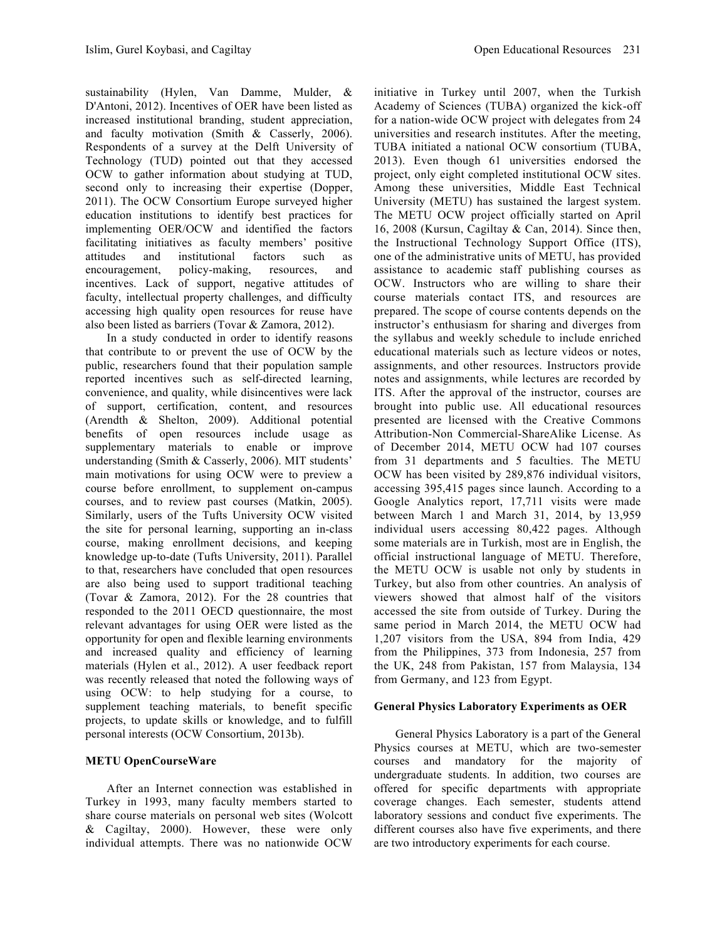sustainability (Hylen, Van Damme, Mulder, & D'Antoni, 2012). Incentives of OER have been listed as increased institutional branding, student appreciation, and faculty motivation (Smith & Casserly, 2006). Respondents of a survey at the Delft University of Technology (TUD) pointed out that they accessed OCW to gather information about studying at TUD, second only to increasing their expertise (Dopper, 2011). The OCW Consortium Europe surveyed higher education institutions to identify best practices for implementing OER/OCW and identified the factors facilitating initiatives as faculty members' positive attitudes and institutional factors such as encouragement, policy-making, resources, and incentives. Lack of support, negative attitudes of faculty, intellectual property challenges, and difficulty accessing high quality open resources for reuse have also been listed as barriers (Tovar & Zamora, 2012).

In a study conducted in order to identify reasons that contribute to or prevent the use of OCW by the public, researchers found that their population sample reported incentives such as self-directed learning, convenience, and quality, while disincentives were lack of support, certification, content, and resources (Arendth & Shelton, 2009). Additional potential benefits of open resources include usage as supplementary materials to enable or improve understanding (Smith & Casserly, 2006). MIT students' main motivations for using OCW were to preview a course before enrollment, to supplement on-campus courses, and to review past courses (Matkin, 2005). Similarly, users of the Tufts University OCW visited the site for personal learning, supporting an in-class course, making enrollment decisions, and keeping knowledge up-to-date (Tufts University, 2011). Parallel to that, researchers have concluded that open resources are also being used to support traditional teaching (Tovar & Zamora, 2012). For the 28 countries that responded to the 2011 OECD questionnaire, the most relevant advantages for using OER were listed as the opportunity for open and flexible learning environments and increased quality and efficiency of learning materials (Hylen et al., 2012). A user feedback report was recently released that noted the following ways of using OCW: to help studying for a course, to supplement teaching materials, to benefit specific projects, to update skills or knowledge, and to fulfill personal interests (OCW Consortium, 2013b).

# **METU OpenCourseWare**

After an Internet connection was established in Turkey in 1993, many faculty members started to share course materials on personal web sites (Wolcott & Cagiltay, 2000). However, these were only individual attempts. There was no nationwide OCW initiative in Turkey until 2007, when the Turkish Academy of Sciences (TUBA) organized the kick-off for a nation-wide OCW project with delegates from 24 universities and research institutes. After the meeting, TUBA initiated a national OCW consortium (TUBA, 2013). Even though 61 universities endorsed the project, only eight completed institutional OCW sites. Among these universities, Middle East Technical University (METU) has sustained the largest system. The METU OCW project officially started on April 16, 2008 (Kursun, Cagiltay & Can, 2014). Since then, the Instructional Technology Support Office (ITS), one of the administrative units of METU, has provided assistance to academic staff publishing courses as OCW. Instructors who are willing to share their course materials contact ITS, and resources are prepared. The scope of course contents depends on the instructor's enthusiasm for sharing and diverges from the syllabus and weekly schedule to include enriched educational materials such as lecture videos or notes, assignments, and other resources. Instructors provide notes and assignments, while lectures are recorded by ITS. After the approval of the instructor, courses are brought into public use. All educational resources presented are licensed with the Creative Commons Attribution-Non Commercial-ShareAlike License. As of December 2014, METU OCW had 107 courses from 31 departments and 5 faculties. The METU OCW has been visited by 289,876 individual visitors, accessing 395,415 pages since launch. According to a Google Analytics report, 17,711 visits were made between March 1 and March 31, 2014, by 13,959 individual users accessing 80,422 pages. Although some materials are in Turkish, most are in English, the official instructional language of METU. Therefore, the METU OCW is usable not only by students in Turkey, but also from other countries. An analysis of viewers showed that almost half of the visitors accessed the site from outside of Turkey. During the same period in March 2014, the METU OCW had 1,207 visitors from the USA, 894 from India, 429 from the Philippines, 373 from Indonesia, 257 from the UK, 248 from Pakistan, 157 from Malaysia, 134 from Germany, and 123 from Egypt.

# **General Physics Laboratory Experiments as OER**

General Physics Laboratory is a part of the General Physics courses at METU, which are two-semester courses and mandatory for the majority of undergraduate students. In addition, two courses are offered for specific departments with appropriate coverage changes. Each semester, students attend laboratory sessions and conduct five experiments. The different courses also have five experiments, and there are two introductory experiments for each course.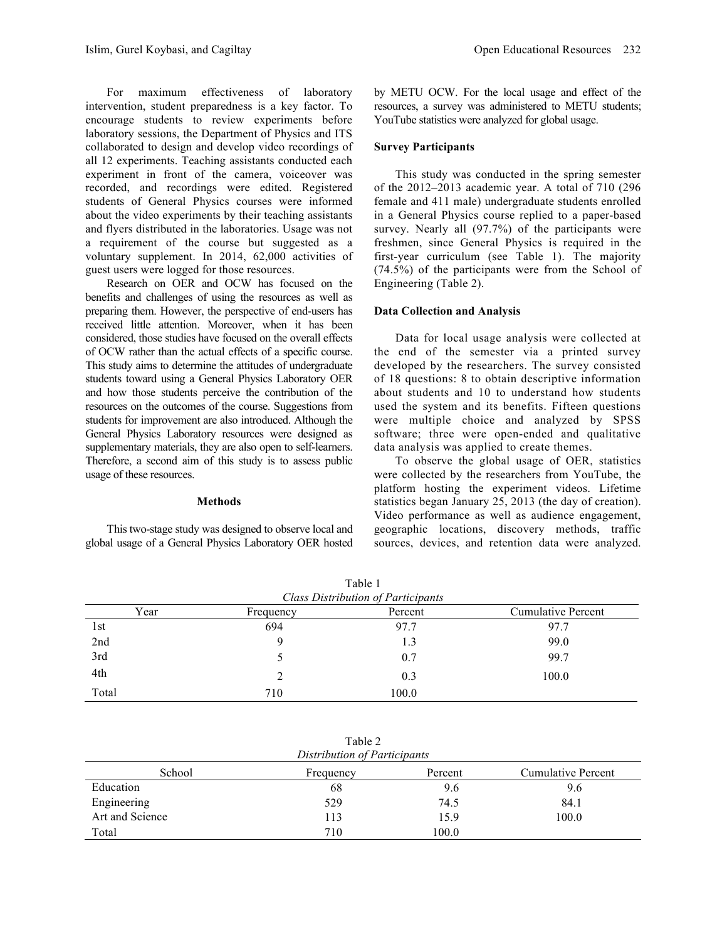For maximum effectiveness of laboratory intervention, student preparedness is a key factor. To encourage students to review experiments before laboratory sessions, the Department of Physics and ITS collaborated to design and develop video recordings of all 12 experiments. Teaching assistants conducted each experiment in front of the camera, voiceover was recorded, and recordings were edited. Registered students of General Physics courses were informed about the video experiments by their teaching assistants and flyers distributed in the laboratories. Usage was not a requirement of the course but suggested as a voluntary supplement. In 2014, 62,000 activities of guest users were logged for those resources.

Research on OER and OCW has focused on the benefits and challenges of using the resources as well as preparing them. However, the perspective of end-users has received little attention. Moreover, when it has been considered, those studies have focused on the overall effects of OCW rather than the actual effects of a specific course. This study aims to determine the attitudes of undergraduate students toward using a General Physics Laboratory OER and how those students perceive the contribution of the resources on the outcomes of the course. Suggestions from students for improvement are also introduced. Although the General Physics Laboratory resources were designed as supplementary materials, they are also open to self-learners. Therefore, a second aim of this study is to assess public usage of these resources.

#### **Methods**

This two-stage study was designed to observe local and global usage of a General Physics Laboratory OER hosted by METU OCW. For the local usage and effect of the resources, a survey was administered to METU students; YouTube statistics were analyzed for global usage.

## **Survey Participants**

This study was conducted in the spring semester of the 2012–2013 academic year. A total of 710 (296 female and 411 male) undergraduate students enrolled in a General Physics course replied to a paper-based survey. Nearly all (97.7%) of the participants were freshmen, since General Physics is required in the first-year curriculum (see Table 1). The majority (74.5%) of the participants were from the School of Engineering (Table 2).

### **Data Collection and Analysis**

Data for local usage analysis were collected at the end of the semester via a printed survey developed by the researchers. The survey consisted of 18 questions: 8 to obtain descriptive information about students and 10 to understand how students used the system and its benefits. Fifteen questions were multiple choice and analyzed by SPSS software; three were open-ended and qualitative data analysis was applied to create themes.

To observe the global usage of OER, statistics were collected by the researchers from YouTube, the platform hosting the experiment videos. Lifetime statistics began January 25, 2013 (the day of creation). Video performance as well as audience engagement, geographic locations, discovery methods, traffic sources, devices, and retention data were analyzed.

| TUOIVI<br><b>Class Distribution of Participants</b> |           |         |                           |  |
|-----------------------------------------------------|-----------|---------|---------------------------|--|
| Year                                                | Frequency | Percent | <b>Cumulative Percent</b> |  |
| 1st                                                 | 694       | 97.7    | 97.7                      |  |
| 2nd                                                 | 9         | 1.3     | 99.0                      |  |
| 3rd                                                 |           | 0.7     | 99.7                      |  |
| 4th                                                 | 2         | 0.3     | 100.0                     |  |
| Total                                               | 710       | 100.0   |                           |  |

Table 1

| Table 2                |
|------------------------|
| stribution of Particin |

| Distribution of Participants |           |         |                    |
|------------------------------|-----------|---------|--------------------|
| School                       | Frequency | Percent | Cumulative Percent |
| Education                    | 68        | 9.6     | 9.6                |
| Engineering                  | 529       | 74.5    | 84.1               |
| Art and Science              | 113       | 15.9    | 100.0              |
| Total                        | 710       | 100.0   |                    |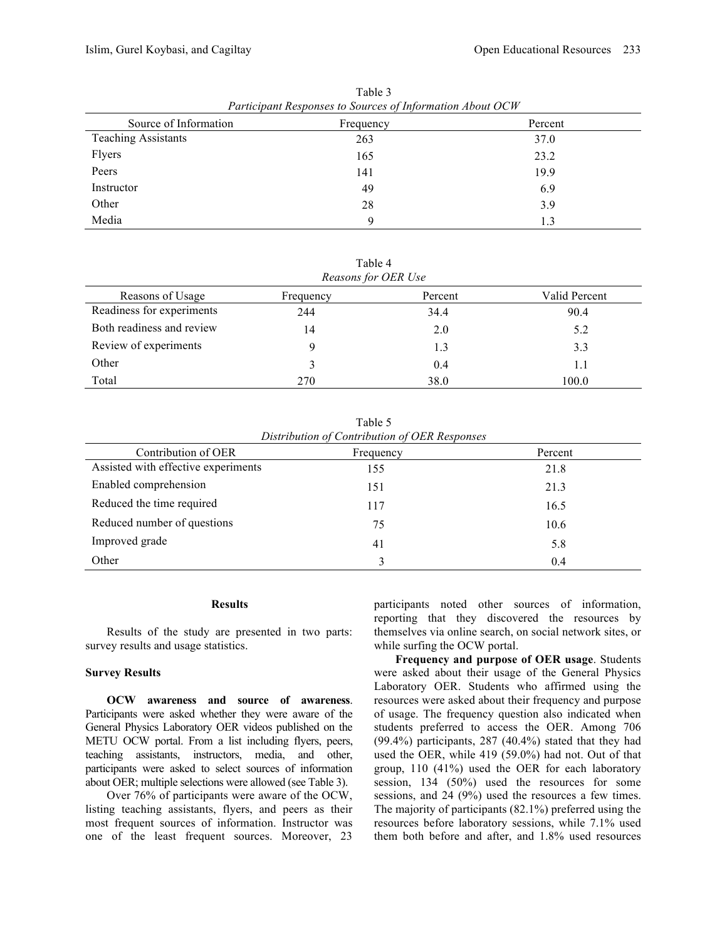| Participant Responses to Sources of Information About OCW |           |         |  |
|-----------------------------------------------------------|-----------|---------|--|
| Source of Information                                     | Frequency | Percent |  |
| <b>Teaching Assistants</b>                                | 263       | 37.0    |  |
| Flyers                                                    | 165       | 23.2    |  |
| Peers                                                     | 141       | 19.9    |  |
| Instructor                                                | 49        | 6.9     |  |
| Other                                                     | 28        | 3.9     |  |
| Media                                                     | 9         | 1.3     |  |

Table 3 *Participant Responses to Sources of Information About OCW*

Table 4 *Reasons for OER Use*

| Reasons for OER Use       |           |         |               |
|---------------------------|-----------|---------|---------------|
| Reasons of Usage          | Frequency | Percent | Valid Percent |
| Readiness for experiments | 244       | 34.4    | 90.4          |
| Both readiness and review | 14        | 2.0     | 5.2           |
| Review of experiments     | Q         | 1.3     | 3.3           |
| Other                     |           | 0.4     | 1.1           |
| Total                     | 270       | 38.0    | 100.0         |

Table 5 *Distribution of Contribution of OER Responses*

| Contribution of OER                 | Frequency | Percent |
|-------------------------------------|-----------|---------|
| Assisted with effective experiments | 155       | 21.8    |
| Enabled comprehension               | 151       | 21.3    |
| Reduced the time required           | 117       | 16.5    |
| Reduced number of questions         | 75        | 10.6    |
| Improved grade                      | 41        | 5.8     |
| Other                               |           | 0.4     |

#### **Results**

Results of the study are presented in two parts: survey results and usage statistics.

### **Survey Results**

**OCW awareness and source of awareness**. Participants were asked whether they were aware of the General Physics Laboratory OER videos published on the METU OCW portal. From a list including flyers, peers, teaching assistants, instructors, media, and other, participants were asked to select sources of information about OER; multiple selections were allowed (see Table 3).

Over 76% of participants were aware of the OCW, listing teaching assistants, flyers, and peers as their most frequent sources of information. Instructor was one of the least frequent sources. Moreover, 23 participants noted other sources of information, reporting that they discovered the resources by themselves via online search, on social network sites, or while surfing the OCW portal.

**Frequency and purpose of OER usage**. Students were asked about their usage of the General Physics Laboratory OER. Students who affirmed using the resources were asked about their frequency and purpose of usage. The frequency question also indicated when students preferred to access the OER. Among 706 (99.4%) participants, 287 (40.4%) stated that they had used the OER, while 419 (59.0%) had not. Out of that group, 110 (41%) used the OER for each laboratory session, 134 (50%) used the resources for some sessions, and 24 (9%) used the resources a few times. The majority of participants (82.1%) preferred using the resources before laboratory sessions, while 7.1% used them both before and after, and 1.8% used resources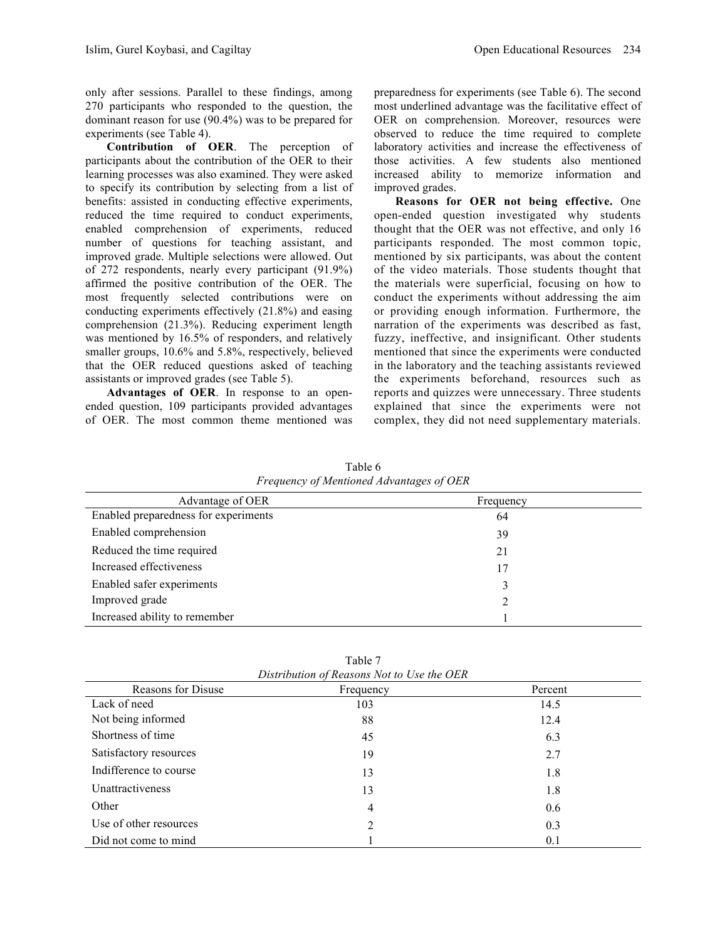only after sessions. Parallel to these findings, among 270 participants who responded to the question, the dominant reason for use (90.4%) was to be prepared for experiments (see Table 4).

**Contribution of OER**. The perception of participants about the contribution of the OER to their learning processes was also examined. They were asked to specify its contribution by selecting from a list of benefits: assisted in conducting effective experiments, reduced the time required to conduct experiments, enabled comprehension of experiments, reduced number of questions for teaching assistant, and improved grade. Multiple selections were allowed. Out of 272 respondents, nearly every participant (91.9%) affirmed the positive contribution of the OER. The most frequently selected contributions were on conducting experiments effectively (21.8%) and easing comprehension (21.3%). Reducing experiment length was mentioned by 16.5% of responders, and relatively smaller groups, 10.6% and 5.8%, respectively, believed that the OER reduced questions asked of teaching assistants or improved grades (see Table 5).

**Advantages of OER**. In response to an openended question, 109 participants provided advantages of OER. The most common theme mentioned was preparedness for experiments (see Table 6). The second most underlined advantage was the facilitative effect of OER on comprehension. Moreover, resources were observed to reduce the time required to complete laboratory activities and increase the effectiveness of those activities. A few students also mentioned increased ability to memorize information and improved grades.

**Reasons for OER not being effective.** One open-ended question investigated why students thought that the OER was not effective, and only 16 participants responded. The most common topic, mentioned by six participants, was about the content of the video materials. Those students thought that the materials were superficial, focusing on how to conduct the experiments without addressing the aim or providing enough information. Furthermore, the narration of the experiments was described as fast, fuzzy, ineffective, and insignificant. Other students mentioned that since the experiments were conducted in the laboratory and the teaching assistants reviewed the experiments beforehand, resources such as reports and quizzes were unnecessary. Three students explained that since the experiments were not complex, they did not need supplementary materials.

| Table 6                                  |  |
|------------------------------------------|--|
| Frequency of Mentioned Advantages of OER |  |

| Advantage of OER                     | Frequency |
|--------------------------------------|-----------|
| Enabled preparedness for experiments | 64        |
| Enabled comprehension                | 39        |
| Reduced the time required            | 21        |
| Increased effectiveness              | 17        |
| Enabled safer experiments            | 3         |
| Improved grade                       |           |
| Increased ability to remember        |           |

Table 7 *Distribution of Reasons Not to Use the OER*

| Reasons for Disuse     | Frequency | Percent |
|------------------------|-----------|---------|
| Lack of need           | 103       | 14.5    |
| Not being informed     | 88        | 12.4    |
| Shortness of time      | 45        | 6.3     |
| Satisfactory resources | 19        | 2.7     |
| Indifference to course | 13        | 1.8     |
| Unattractiveness       | 13        | 1.8     |
| Other                  | 4         | 0.6     |
| Use of other resources | 2         | 0.3     |
| Did not come to mind   |           | 0.1     |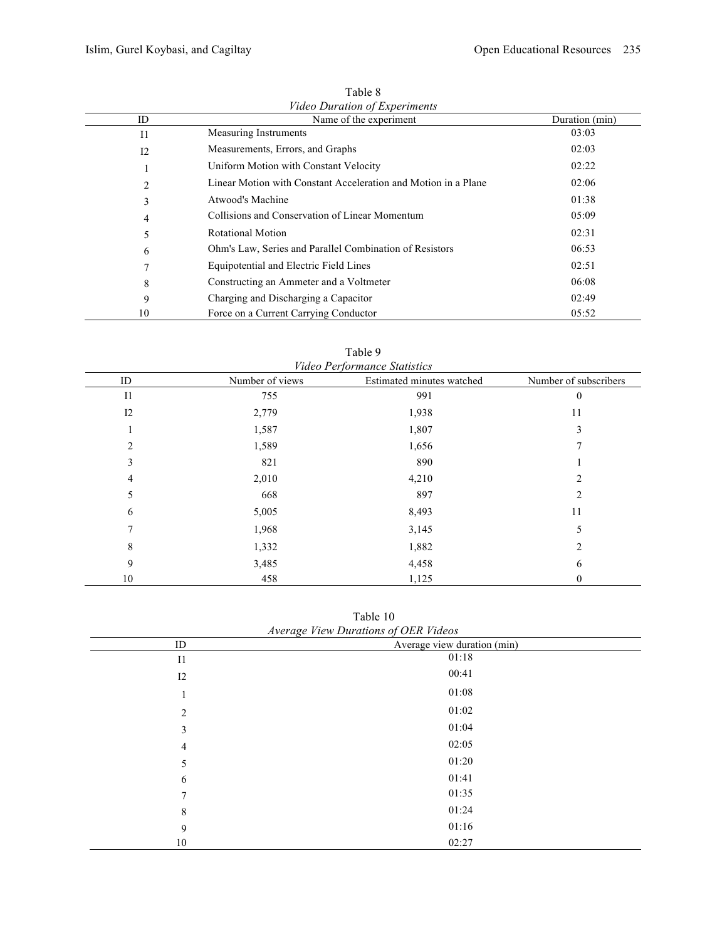| ID      | Name of the experiment                                         | Duration (min) |
|---------|----------------------------------------------------------------|----------------|
| $_{11}$ | <b>Measuring Instruments</b>                                   | 03:03          |
| 12      | Measurements, Errors, and Graphs                               | 02:03          |
|         | Uniform Motion with Constant Velocity                          | 02:22          |
| 2       | Linear Motion with Constant Acceleration and Motion in a Plane | 02:06          |
| 3       | Atwood's Machine                                               | 01:38          |
| 4       | Collisions and Conservation of Linear Momentum                 | 05:09          |
| 5       | Rotational Motion                                              | 02:31          |
| 6       | Ohm's Law, Series and Parallel Combination of Resistors        | 06:53          |
| 7       | Equipotential and Electric Field Lines                         | 02:51          |
| 8       | Constructing an Ammeter and a Voltmeter                        | 06:08          |
| 9       | Charging and Discharging a Capacitor                           | 02:49          |
| 10      | Force on a Current Carrying Conductor                          | 05:52          |

Table 8 *Video Duration of Experiments*

| ID             | Number of views | <i>r</i> luco <i>I</i> criormunce situations<br>Estimated minutes watched | Number of subscribers |
|----------------|-----------------|---------------------------------------------------------------------------|-----------------------|
| I <sub>1</sub> | 755             | 991                                                                       | $\theta$              |
| 12             | 2,779           | 1,938                                                                     | 11                    |
|                | 1,587           | 1,807                                                                     | 3                     |
| 2              | 1,589           | 1,656                                                                     |                       |
| 3              | 821             | 890                                                                       |                       |
| 4              | 2,010           | 4,210                                                                     | 2                     |
| 5              | 668             | 897                                                                       |                       |
| 6              | 5,005           | 8,493                                                                     | 11                    |
|                | 1,968           | 3,145                                                                     | 5                     |
| 8              | 1,332           | 1,882                                                                     | $\overline{c}$        |
| 9              | 3,485           | 4,458                                                                     | 6                     |
| 10             | 458             | 1,125                                                                     | 0                     |

Table 9 *Video Performance Statistics*

Table 10 *Average View Durations of OER Videos*

| <i>Average view Durations of OER videos</i> |                             |  |
|---------------------------------------------|-----------------------------|--|
| ID                                          | Average view duration (min) |  |
| I <sub>1</sub>                              | 01:18                       |  |
| 12                                          | 00:41                       |  |
| 1                                           | 01:08                       |  |
| 2                                           | 01:02                       |  |
| 3                                           | 01:04                       |  |
| $\overline{4}$                              | 02:05                       |  |
| 5                                           | 01:20                       |  |
| 6                                           | 01:41                       |  |
| $\tau$                                      | 01:35                       |  |
| 8                                           | 01:24                       |  |
| 9                                           | 01:16                       |  |
| 10                                          | 02:27                       |  |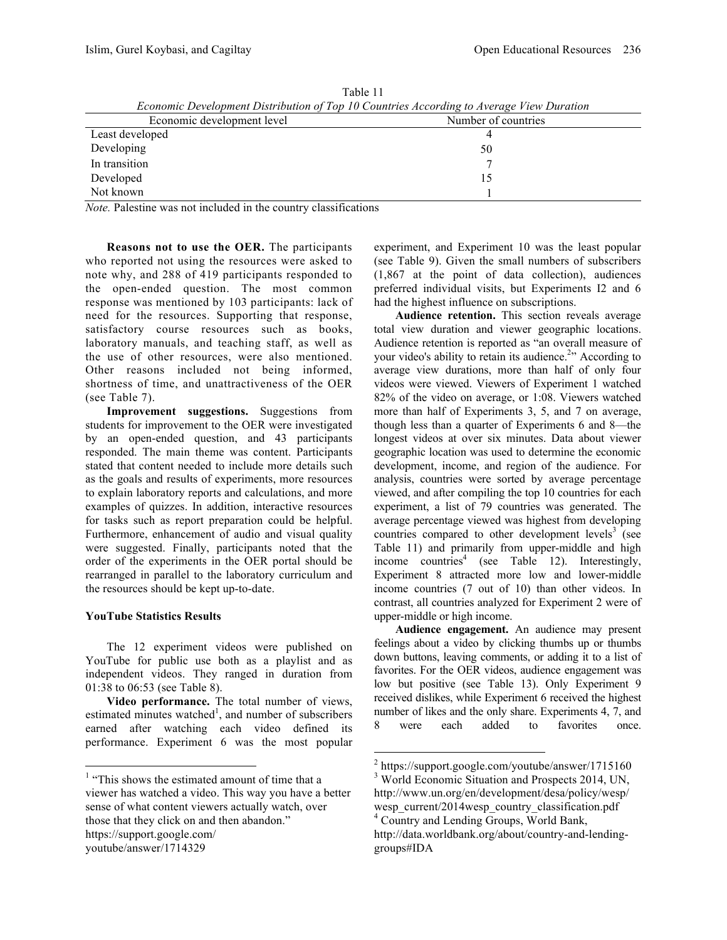| Economic Development Distribution of 10p 10 Countries According to Average View Duration |                     |  |  |
|------------------------------------------------------------------------------------------|---------------------|--|--|
| Economic development level                                                               | Number of countries |  |  |
| Least developed                                                                          |                     |  |  |
| Developing                                                                               | 50                  |  |  |
| In transition                                                                            |                     |  |  |
| Developed                                                                                |                     |  |  |
| Not known                                                                                |                     |  |  |

Table 11 *Economic Development Distribution of Top 10 Countries According to Average View Duration*

*Note.* Palestine was not included in the country classifications

**Reasons not to use the OER.** The participants who reported not using the resources were asked to note why, and 288 of 419 participants responded to the open-ended question. The most common response was mentioned by 103 participants: lack of need for the resources. Supporting that response, satisfactory course resources such as books, laboratory manuals, and teaching staff, as well as the use of other resources, were also mentioned. Other reasons included not being informed, shortness of time, and unattractiveness of the OER (see Table 7).

**Improvement suggestions.** Suggestions from students for improvement to the OER were investigated by an open-ended question, and 43 participants responded. The main theme was content. Participants stated that content needed to include more details such as the goals and results of experiments, more resources to explain laboratory reports and calculations, and more examples of quizzes. In addition, interactive resources for tasks such as report preparation could be helpful. Furthermore, enhancement of audio and visual quality were suggested. Finally, participants noted that the order of the experiments in the OER portal should be rearranged in parallel to the laboratory curriculum and the resources should be kept up-to-date.

# **YouTube Statistics Results**

The 12 experiment videos were published on YouTube for public use both as a playlist and as independent videos. They ranged in duration from 01:38 to 06:53 (see Table 8).

**Video performance.** The total number of views, estimated minutes watched<sup>1</sup>, and number of subscribers earned after watching each video defined its performance. Experiment 6 was the most popular

experiment, and Experiment 10 was the least popular (see Table 9). Given the small numbers of subscribers (1,867 at the point of data collection), audiences preferred individual visits, but Experiments I2 and 6 had the highest influence on subscriptions.

**Audience retention.** This section reveals average total view duration and viewer geographic locations. Audience retention is reported as "an overall measure of your video's ability to retain its audience.<sup>2</sup><sup>2</sup> According to average view durations, more than half of only four videos were viewed. Viewers of Experiment 1 watched 82% of the video on average, or 1:08. Viewers watched more than half of Experiments 3, 5, and 7 on average, though less than a quarter of Experiments 6 and 8—the longest videos at over six minutes. Data about viewer geographic location was used to determine the economic development, income, and region of the audience. For analysis, countries were sorted by average percentage viewed, and after compiling the top 10 countries for each experiment, a list of 79 countries was generated. The average percentage viewed was highest from developing countries compared to other development levels<sup>3</sup> (see Table 11) and primarily from upper-middle and high income countries<sup>4</sup> (see Table 12). Interestingly, Experiment 8 attracted more low and lower-middle income countries (7 out of 10) than other videos. In contrast, all countries analyzed for Experiment 2 were of upper-middle or high income.

**Audience engagement.** An audience may present feelings about a video by clicking thumbs up or thumbs down buttons, leaving comments, or adding it to a list of favorites. For the OER videos, audience engagement was low but positive (see Table 13). Only Experiment 9 received dislikes, while Experiment 6 received the highest number of likes and the only share. Experiments 4, 7, and 8 were each added to favorites once.

<sup>&</sup>lt;sup>1</sup> "This shows the estimated amount of time that a viewer has watched a video. This way you have a better sense of what content viewers actually watch, over those that they click on and then abandon." https://support.google.com/ youtube/answer/1714329

 $^2$  https://support.google.com/youtube/answer/1715160<br> $^3$  World Economic Situation and Prospects 2014, UN,

http://www.un.org/en/development/desa/policy/wesp/ wesp\_current/2014wesp\_country\_classification.pdf <sup>4</sup> Country and Lending Groups, World Bank, http://data.worldbank.org/about/country-and-lendinggroups#IDA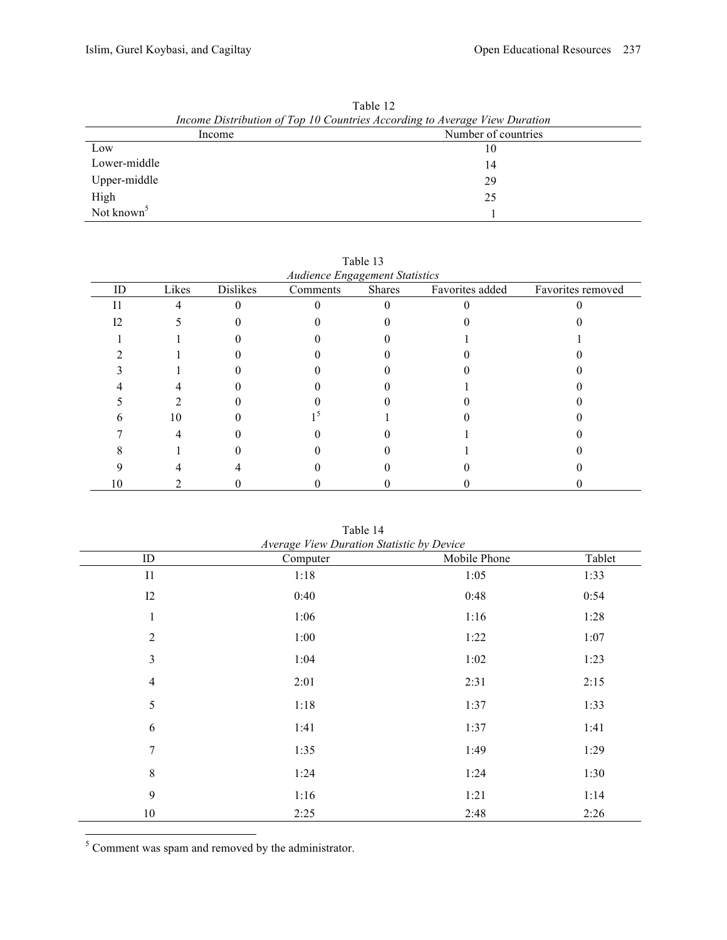| Income Distribution of Top 10 Countries According to Average View Duration |                     |  |
|----------------------------------------------------------------------------|---------------------|--|
| Income                                                                     | Number of countries |  |
| Low                                                                        | 10                  |  |
| Lower-middle                                                               | 14                  |  |
| Upper-middle                                                               | 29                  |  |
| High                                                                       | 25                  |  |
| Not known <sup>5</sup>                                                     |                     |  |

Table 12

|  | Audionee Engagement Statisti |  |
|--|------------------------------|--|

| ID | Likes | <b>Dislikes</b> | Audience Engagement Statistics<br>Comments | Shares | Favorites added | Favorites removed |
|----|-------|-----------------|--------------------------------------------|--------|-----------------|-------------------|
|    |       |                 |                                            |        |                 |                   |
|    |       |                 |                                            |        |                 |                   |
|    |       |                 |                                            |        |                 |                   |
|    |       |                 |                                            |        |                 |                   |
|    |       |                 |                                            |        |                 |                   |
|    |       |                 |                                            |        |                 |                   |
|    |       |                 |                                            |        |                 |                   |
|    | 10    |                 |                                            |        |                 |                   |
|    |       |                 |                                            |        |                 |                   |
|    |       |                 |                                            |        |                 |                   |
|    |       |                 |                                            |        |                 |                   |
| 10 |       |                 |                                            |        |                 |                   |

| Average View Duration Statistic by Device |          |              |        |  |
|-------------------------------------------|----------|--------------|--------|--|
| ID                                        | Computer | Mobile Phone | Tablet |  |
| I1                                        | 1:18     | 1:05         | 1:33   |  |
| I2                                        | 0:40     | 0:48         | 0:54   |  |
| 1                                         | 1:06     | 1:16         | 1:28   |  |
| $\overline{2}$                            | 1:00     | 1:22         | 1:07   |  |
| $\overline{3}$                            | 1:04     | 1:02         | 1:23   |  |
| $\overline{4}$                            | 2:01     | 2:31         | 2:15   |  |
| 5                                         | 1:18     | 1:37         | 1:33   |  |
| 6                                         | 1:41     | 1:37         | 1:41   |  |
| $\overline{7}$                            | 1:35     | 1:49         | 1:29   |  |
| 8                                         | 1:24     | 1:24         | 1:30   |  |
| 9                                         | 1:16     | 1:21         | 1:14   |  |
| $10\,$                                    | 2:25     | 2:48         | 2:26   |  |

Table 14

 $\frac{1}{s}$  Comment was spam and removed by the administrator.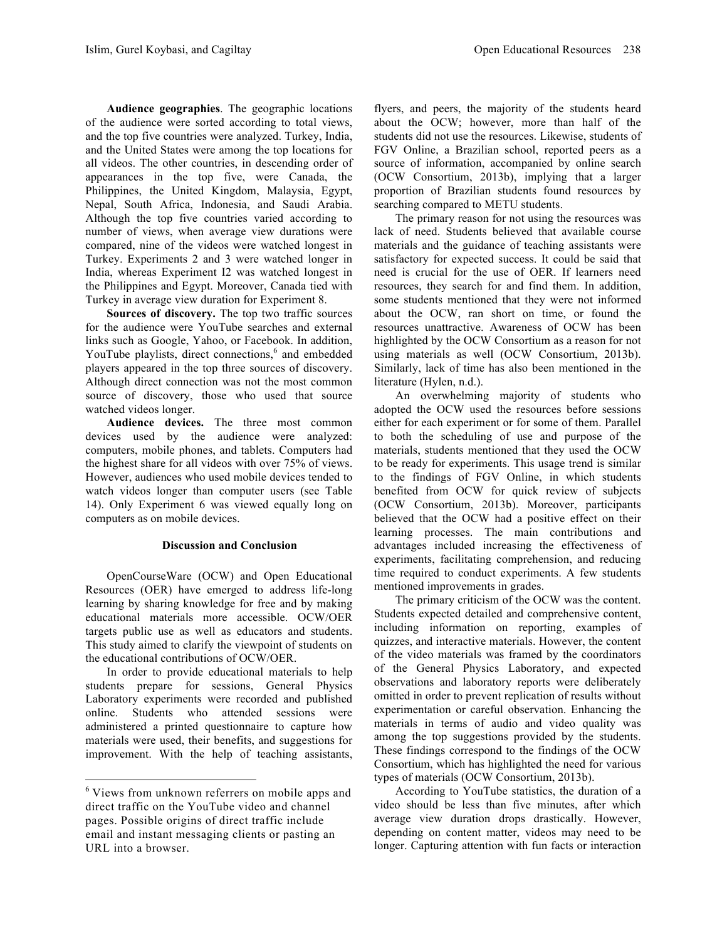**Audience geographies**. The geographic locations of the audience were sorted according to total views, and the top five countries were analyzed. Turkey, India, and the United States were among the top locations for all videos. The other countries, in descending order of appearances in the top five, were Canada, the Philippines, the United Kingdom, Malaysia, Egypt, Nepal, South Africa, Indonesia, and Saudi Arabia. Although the top five countries varied according to number of views, when average view durations were compared, nine of the videos were watched longest in Turkey. Experiments 2 and 3 were watched longer in India, whereas Experiment I2 was watched longest in the Philippines and Egypt. Moreover, Canada tied with Turkey in average view duration for Experiment 8.

**Sources of discovery.** The top two traffic sources for the audience were YouTube searches and external links such as Google, Yahoo, or Facebook. In addition, YouTube playlists, direct connections,<sup>6</sup> and embedded players appeared in the top three sources of discovery. Although direct connection was not the most common source of discovery, those who used that source watched videos longer.

**Audience devices.** The three most common devices used by the audience were analyzed: computers, mobile phones, and tablets. Computers had the highest share for all videos with over 75% of views. However, audiences who used mobile devices tended to watch videos longer than computer users (see Table 14). Only Experiment 6 was viewed equally long on computers as on mobile devices.

### **Discussion and Conclusion**

OpenCourseWare (OCW) and Open Educational Resources (OER) have emerged to address life-long learning by sharing knowledge for free and by making educational materials more accessible. OCW/OER targets public use as well as educators and students. This study aimed to clarify the viewpoint of students on the educational contributions of OCW/OER.

In order to provide educational materials to help students prepare for sessions, General Physics Laboratory experiments were recorded and published online. Students who attended sessions were administered a printed questionnaire to capture how materials were used, their benefits, and suggestions for improvement. With the help of teaching assistants, flyers, and peers, the majority of the students heard about the OCW; however, more than half of the students did not use the resources. Likewise, students of FGV Online, a Brazilian school, reported peers as a source of information, accompanied by online search (OCW Consortium, 2013b), implying that a larger proportion of Brazilian students found resources by searching compared to METU students.

The primary reason for not using the resources was lack of need. Students believed that available course materials and the guidance of teaching assistants were satisfactory for expected success. It could be said that need is crucial for the use of OER. If learners need resources, they search for and find them. In addition, some students mentioned that they were not informed about the OCW, ran short on time, or found the resources unattractive. Awareness of OCW has been highlighted by the OCW Consortium as a reason for not using materials as well (OCW Consortium, 2013b). Similarly, lack of time has also been mentioned in the literature (Hylen, n.d.).

An overwhelming majority of students who adopted the OCW used the resources before sessions either for each experiment or for some of them. Parallel to both the scheduling of use and purpose of the materials, students mentioned that they used the OCW to be ready for experiments. This usage trend is similar to the findings of FGV Online, in which students benefited from OCW for quick review of subjects (OCW Consortium, 2013b). Moreover, participants believed that the OCW had a positive effect on their learning processes. The main contributions and advantages included increasing the effectiveness of experiments, facilitating comprehension, and reducing time required to conduct experiments. A few students mentioned improvements in grades.

The primary criticism of the OCW was the content. Students expected detailed and comprehensive content, including information on reporting, examples of quizzes, and interactive materials. However, the content of the video materials was framed by the coordinators of the General Physics Laboratory, and expected observations and laboratory reports were deliberately omitted in order to prevent replication of results without experimentation or careful observation. Enhancing the materials in terms of audio and video quality was among the top suggestions provided by the students. These findings correspond to the findings of the OCW Consortium, which has highlighted the need for various types of materials (OCW Consortium, 2013b).

According to YouTube statistics, the duration of a video should be less than five minutes, after which average view duration drops drastically. However, depending on content matter, videos may need to be longer. Capturing attention with fun facts or interaction

<sup>&</sup>lt;sup>6</sup> Views from unknown referrers on mobile apps and direct traffic on the YouTube video and channel pages. Possible origins of direct traffic include email and instant messaging clients or pasting an URL into a browser.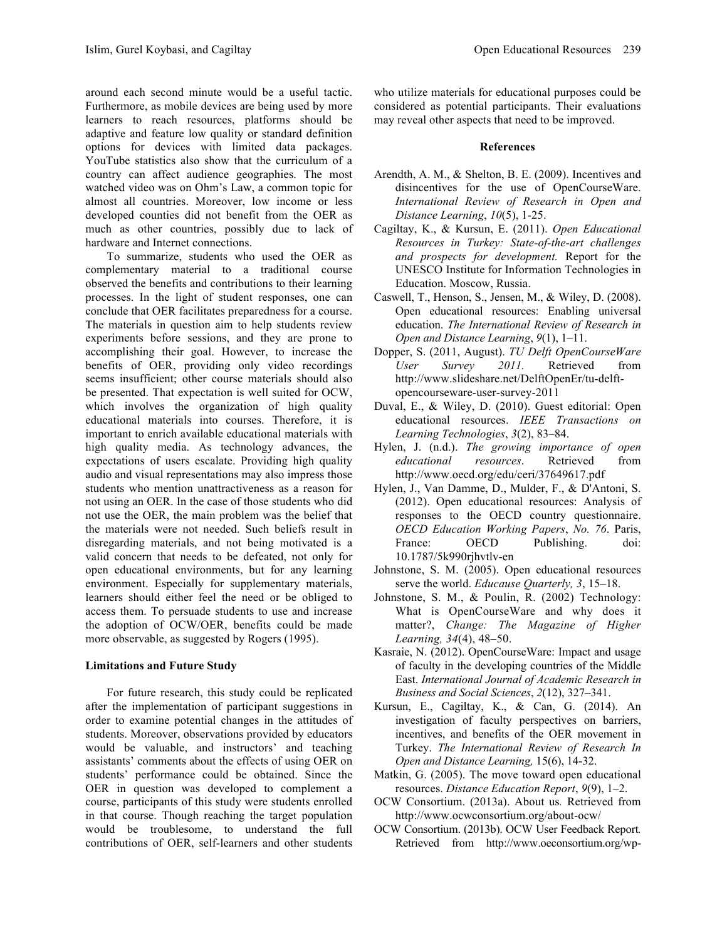around each second minute would be a useful tactic. Furthermore, as mobile devices are being used by more learners to reach resources, platforms should be adaptive and feature low quality or standard definition options for devices with limited data packages. YouTube statistics also show that the curriculum of a country can affect audience geographies. The most watched video was on Ohm's Law, a common topic for almost all countries. Moreover, low income or less developed counties did not benefit from the OER as much as other countries, possibly due to lack of hardware and Internet connections.

To summarize, students who used the OER as complementary material to a traditional course observed the benefits and contributions to their learning processes. In the light of student responses, one can conclude that OER facilitates preparedness for a course. The materials in question aim to help students review experiments before sessions, and they are prone to accomplishing their goal. However, to increase the benefits of OER, providing only video recordings seems insufficient; other course materials should also be presented. That expectation is well suited for OCW, which involves the organization of high quality educational materials into courses. Therefore, it is important to enrich available educational materials with high quality media. As technology advances, the expectations of users escalate. Providing high quality audio and visual representations may also impress those students who mention unattractiveness as a reason for not using an OER. In the case of those students who did not use the OER, the main problem was the belief that the materials were not needed. Such beliefs result in disregarding materials, and not being motivated is a valid concern that needs to be defeated, not only for open educational environments, but for any learning environment. Especially for supplementary materials, learners should either feel the need or be obliged to access them. To persuade students to use and increase the adoption of OCW/OER, benefits could be made more observable, as suggested by Rogers (1995).

# **Limitations and Future Study**

For future research, this study could be replicated after the implementation of participant suggestions in order to examine potential changes in the attitudes of students. Moreover, observations provided by educators would be valuable, and instructors' and teaching assistants' comments about the effects of using OER on students' performance could be obtained. Since the OER in question was developed to complement a course, participants of this study were students enrolled in that course. Though reaching the target population would be troublesome, to understand the full contributions of OER, self-learners and other students

who utilize materials for educational purposes could be considered as potential participants. Their evaluations may reveal other aspects that need to be improved.

## **References**

- Arendth, A. M., & Shelton, B. E. (2009). Incentives and disincentives for the use of OpenCourseWare. *International Review of Research in Open and Distance Learning*, *10*(5), 1-25.
- Cagiltay, K., & Kursun, E. (2011). *Open Educational Resources in Turkey: State-of-the-art challenges and prospects for development.* Report for the UNESCO Institute for Information Technologies in Education. Moscow, Russia.
- Caswell, T., Henson, S., Jensen, M., & Wiley, D. (2008). Open educational resources: Enabling universal education. *The International Review of Research in Open and Distance Learning*, *9*(1), 1–11.
- Dopper, S. (2011, August). *TU Delft OpenCourseWare User Survey 2011.* Retrieved from http://www.slideshare.net/DelftOpenEr/tu-delftopencourseware-user-survey-2011
- Duval, E., & Wiley, D. (2010). Guest editorial: Open educational resources. *IEEE Transactions on Learning Technologies*, *3*(2), 83–84.
- Hylen, J. (n.d.). *The growing importance of open educational resources*. Retrieved from http://www.oecd.org/edu/ceri/37649617.pdf
- Hylen, J., Van Damme, D., Mulder, F., & D'Antoni, S. (2012). Open educational resources: Analysis of responses to the OECD country questionnaire. *OECD Education Working Papers*, *No. 76*. Paris, France: OECD Publishing. doi: 10.1787/5k990rjhvtlv-en
- Johnstone, S. M. (2005). Open educational resources serve the world. *Educause Quarterly, 3*, 15–18.
- Johnstone, S. M., & Poulin, R. (2002) Technology: What is OpenCourseWare and why does it matter?, *Change: The Magazine of Higher Learning, 34*(4), 48–50.
- Kasraie, N. (2012). OpenCourseWare: Impact and usage of faculty in the developing countries of the Middle East. *International Journal of Academic Research in Business and Social Sciences*, *2*(12), 327–341.
- Kursun, E., Cagiltay, K., & Can, G. (2014). An investigation of faculty perspectives on barriers, incentives, and benefits of the OER movement in Turkey. *The International Review of Research In Open and Distance Learning,* 15(6), 14-32.
- Matkin, G. (2005). The move toward open educational resources. *Distance Education Report*, *9*(9), 1–2.
- OCW Consortium. (2013a). About us*.* Retrieved from http://www.ocwconsortium.org/about-ocw/
- OCW Consortium. (2013b). OCW User Feedback Report*.* Retrieved from http://www.oeconsortium.org/wp-